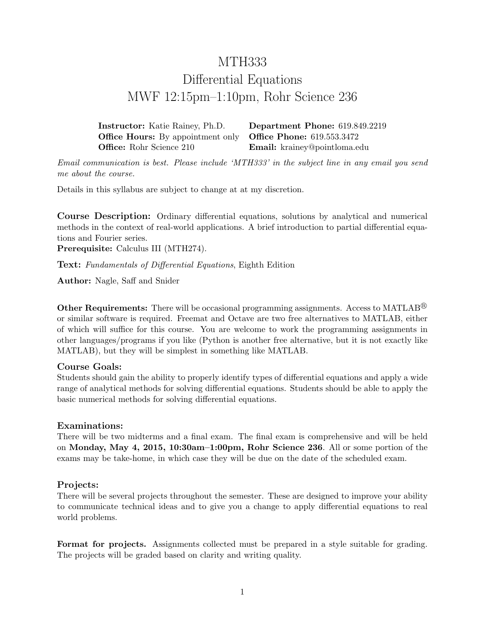# MTH333 Differential Equations MWF 12:15pm–1:10pm, Rohr Science 236

Instructor: Katie Rainey, Ph.D. Department Phone: 619.849.2219 **Office Hours:** By appointment only **Office Phone:** 619.553.3472 Office: Rohr Science 210 **Email:** krainey@pointloma.edu

Email communication is best. Please include 'MTH333' in the subject line in any email you send me about the course.

Details in this syllabus are subject to change at at my discretion.

Course Description: Ordinary differential equations, solutions by analytical and numerical methods in the context of real-world applications. A brief introduction to partial differential equations and Fourier series.

Prerequisite: Calculus III (MTH274).

Text: Fundamentals of Differential Equations, Eighth Edition

Author: Nagle, Saff and Snider

**Other Requirements:** There will be occasional programming assignments. Access to MATLAB<sup>®</sup> or similar software is required. Freemat and Octave are two free alternatives to MATLAB, either of which will suffice for this course. You are welcome to work the programming assignments in other languages/programs if you like (Python is another free alternative, but it is not exactly like MATLAB), but they will be simplest in something like MATLAB.

## Course Goals:

Students should gain the ability to properly identify types of differential equations and apply a wide range of analytical methods for solving differential equations. Students should be able to apply the basic numerical methods for solving differential equations.

## Examinations:

There will be two midterms and a final exam. The final exam is comprehensive and will be held on Monday, May 4, 2015, 10:30am–1:00pm, Rohr Science 236. All or some portion of the exams may be take-home, in which case they will be due on the date of the scheduled exam.

## Projects:

There will be several projects throughout the semester. These are designed to improve your ability to communicate technical ideas and to give you a change to apply differential equations to real world problems.

Format for projects. Assignments collected must be prepared in a style suitable for grading. The projects will be graded based on clarity and writing quality.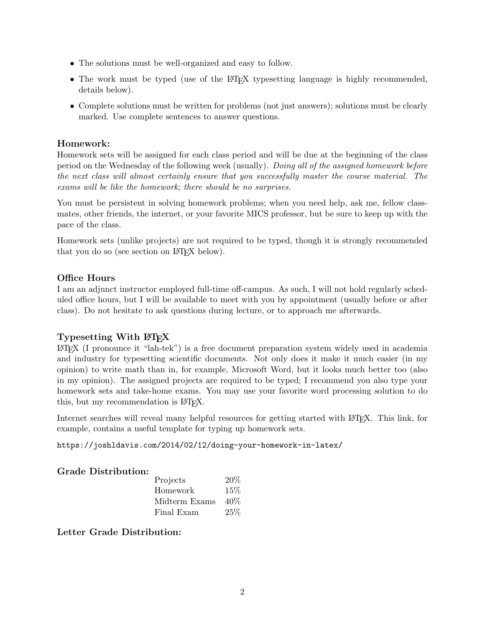- The solutions must be well-organized and easy to follow.
- The work must be typed (use of the LAT<sub>EX</sub> typesetting language is highly recommended, details below).
- Complete solutions must be written for problems (not just answers); solutions must be clearly marked. Use complete sentences to answer questions.

#### Homework:

Homework sets will be assigned for each class period and will be due at the beginning of the class period on the Wednesday of the following week (usually). Doing all of the assigned homework before the next class will almost certainly ensure that you successfully master the course material. The exams will be like the homework; there should be no surprises.

You must be persistent in solving homework problems; when you need help, ask me, fellow classmates, other friends, the internet, or your favorite MICS professor, but be sure to keep up with the pace of the class.

Homework sets (unlike projects) are not required to be typed, though it is strongly recommended that you do so (see section on LAT<sub>EX</sub> below).

#### Office Hours

I am an adjunct instructor employed full-time off-campus. As such, I will not hold regularly scheduled office hours, but I will be available to meet with you by appointment (usually before or after class). Do not hesitate to ask questions during lecture, or to approach me afterwards.

## Typesetting With LAT<sub>EX</sub>

LATEX (I pronounce it "lah-tek") is a free document preparation system widely used in academia and industry for typesetting scientific documents. Not only does it make it much easier (in my opinion) to write math than in, for example, Microsoft Word, but it looks much better too (also in my opinion). The assigned projects are required to be typed; I recommend you also type your homework sets and take-home exams. You may use your favorite word processing solution to do this, but my recommendation is LATEX.

Internet searches will reveal many helpful resources for getting started with LAT<sub>EX</sub>. This link, for example, contains a useful template for typing up homework sets.

https://joshldavis.com/2014/02/12/doing-your-homework-in-latex/

## Grade Distribution:

| Projects      | 20%    |
|---------------|--------|
| Homework      | $15\%$ |
| Midterm Exams | $40\%$ |
| Final Exam    | 25%    |

Letter Grade Distribution: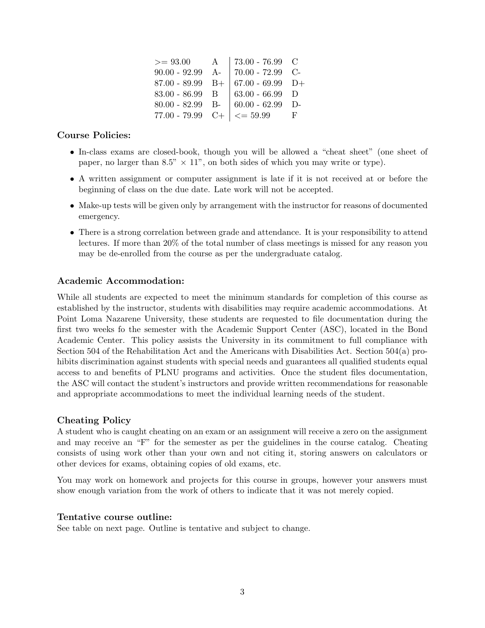| $>= 93.00$        | $A$   73.00 - 76.99 C                              |     |
|-------------------|----------------------------------------------------|-----|
|                   | $90.00 - 92.99$ A-   $70.00 - 72.99$ C-            |     |
|                   | 87.00 - 89.99 B+ $\vert$ 67.00 - 69.99 D+          |     |
| $83.00 - 86.99$ B | 63.00 - 66.99 $\,$ D                               |     |
|                   | $80.00 - 82.99$ B- $60.00 - 62.99$ D-              |     |
|                   | $77.00 - 79.99$ C+ $\vert \langle = 59.99 \rangle$ | -F. |

#### Course Policies:

- In-class exams are closed-book, though you will be allowed a "cheat sheet" (one sheet of paper, no larger than 8.5"  $\times$  11", on both sides of which you may write or type).
- A written assignment or computer assignment is late if it is not received at or before the beginning of class on the due date. Late work will not be accepted.
- Make-up tests will be given only by arrangement with the instructor for reasons of documented emergency.
- There is a strong correlation between grade and attendance. It is your responsibility to attend lectures. If more than 20% of the total number of class meetings is missed for any reason you may be de-enrolled from the course as per the undergraduate catalog.

#### Academic Accommodation:

While all students are expected to meet the minimum standards for completion of this course as established by the instructor, students with disabilities may require academic accommodations. At Point Loma Nazarene University, these students are requested to file documentation during the first two weeks fo the semester with the Academic Support Center (ASC), located in the Bond Academic Center. This policy assists the University in its commitment to full compliance with Section 504 of the Rehabilitation Act and the Americans with Disabilities Act. Section 504(a) prohibits discrimination against students with special needs and guarantees all qualified students equal access to and benefits of PLNU programs and activities. Once the student files documentation, the ASC will contact the student's instructors and provide written recommendations for reasonable and appropriate accommodations to meet the individual learning needs of the student.

#### Cheating Policy

A student who is caught cheating on an exam or an assignment will receive a zero on the assignment and may receive an "F" for the semester as per the guidelines in the course catalog. Cheating consists of using work other than your own and not citing it, storing answers on calculators or other devices for exams, obtaining copies of old exams, etc.

You may work on homework and projects for this course in groups, however your answers must show enough variation from the work of others to indicate that it was not merely copied.

#### Tentative course outline:

See table on next page. Outline is tentative and subject to change.